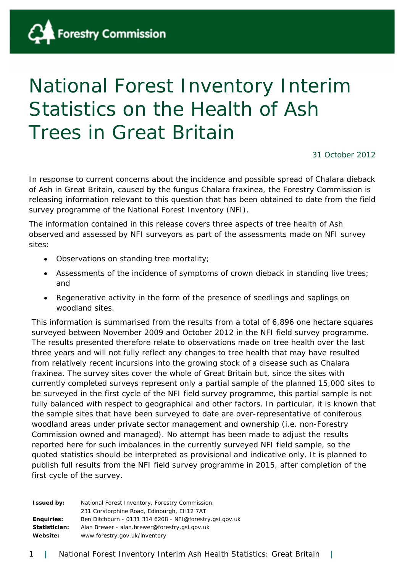

# National Forest Inventory Interim Statistics on the Health of Ash Trees in Great Britain

31 October 2012

In response to current concerns about the incidence and possible spread of Chalara dieback of Ash in Great Britain, caused by the fungus *Chalara fraxinea*, the Forestry Commission is releasing information relevant to this question that has been obtained to date from the field survey programme of the National Forest Inventory (NFI).

The information contained in this release covers three aspects of tree health of Ash observed and assessed by NFI surveyors as part of the assessments made on NFI survey sites:

- Observations on standing tree mortality;
- Assessments of the incidence of symptoms of crown dieback in standing live trees; and
- Regenerative activity in the form of the presence of seedlings and saplings on woodland sites.

This information is summarised from the results from a total of 6,896 one hectare squares surveyed between November 2009 and October 2012 in the NFI field survey programme. The results presented therefore relate to observations made on tree health over the last three years and will not fully reflect any changes to tree health that may have resulted from relatively recent incursions into the growing stock of a disease such as *Chalara fraxinea*. The survey sites cover the whole of Great Britain but, since the sites with currently completed surveys represent only a partial sample of the planned 15,000 sites to be surveyed in the first cycle of the NFI field survey programme, this partial sample is not fully balanced with respect to geographical and other factors. In particular, it is known that the sample sites that have been surveyed to date are over-representative of coniferous woodland areas under private sector management and ownership (i.e. non-Forestry Commission owned and managed). No attempt has been made to adjust the results reported here for such imbalances in the currently surveyed NFI field sample, so the quoted statistics should be interpreted as provisional and indicative only. It is planned to publish full results from the NFI field survey programme in 2015, after completion of the first cycle of the survey.

| <b>Issued by:</b> | National Forest Inventory, Forestry Commission,         |
|-------------------|---------------------------------------------------------|
|                   | 231 Corstorphine Road, Edinburgh, EH12 7AT              |
| Enguiries:        | Ben Ditchburn - 0131 314 6208 - NFI@forestry.gsi.gov.uk |
| Statistician:     | Alan Brewer - alan.brewer@forestry.gsi.gov.uk           |
| Website:          | www.forestry.gov.uk/inventory                           |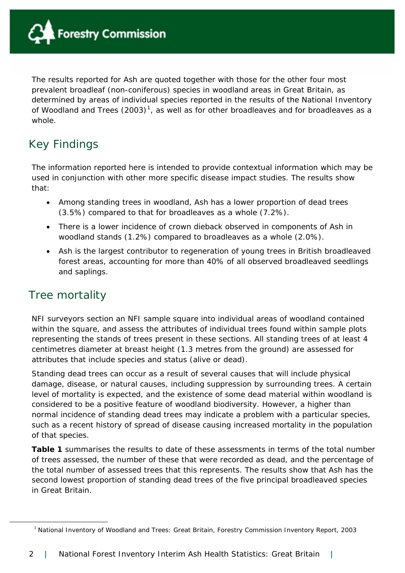

The results reported for Ash are quoted together with those for the other four most prevalent broadleaf (non-coniferous) species in woodland areas in Great Britain, as determined by areas of individual species reported in the results of the National Inventory of Woodland and Trees (2003)<sup>[1](#page-1-0)</sup>, as well as for other broadleaves and for broadleaves as a whole.

## Key Findings

The information reported here is intended to provide contextual information which may be used in conjunction with other more specific disease impact studies. The results show that:

- Among standing trees in woodland, Ash has a lower proportion of dead trees (3.5%) compared to that for broadleaves as a whole (7.2%).
- There is a lower incidence of crown dieback observed in components of Ash in woodland stands (1.2%) compared to broadleaves as a whole (2.0%).
- Ash is the largest contributor to regeneration of young trees in British broadleaved forest areas, accounting for more than 40% of all observed broadleaved seedlings and saplings.

## Tree mortality

<span id="page-1-0"></span>1

NFI surveyors section an NFI sample square into individual areas of woodland contained within the square, and assess the attributes of individual trees found within sample plots representing the stands of trees present in these sections. All standing trees of at least 4 centimetres diameter at breast height (1.3 metres from the ground) are assessed for attributes that include species and status (alive or dead).

Standing dead trees can occur as a result of several causes that will include physical damage, disease, or natural causes, including suppression by surrounding trees. A certain level of mortality is expected, and the existence of some dead material within woodland is considered to be a positive feature of woodland biodiversity. However, a higher than normal incidence of standing dead trees may indicate a problem with a particular species, such as a recent history of spread of disease causing increased mortality in the population of that species.

**Table 1** summarises the results to date of these assessments in terms of the total number of trees assessed, the number of these that were recorded as dead, and the percentage of the total number of assessed trees that this represents. The results show that Ash has the second lowest proportion of standing dead trees of the five principal broadleaved species in Great Britain.

<sup>&</sup>lt;sup>1</sup> National Inventory of Woodland and Trees: Great Britain, Forestry Commission Inventory Report, 2003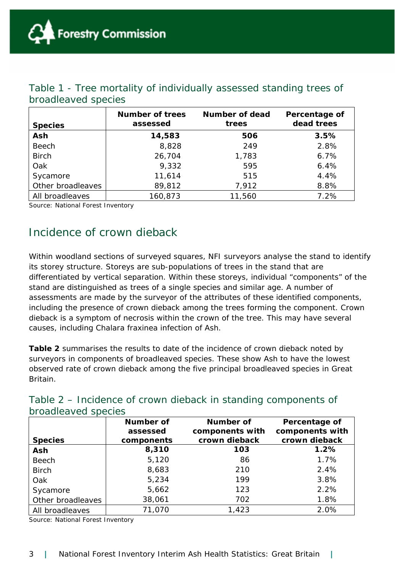| <b>Species</b>    | <b>Number of trees</b><br>assessed | Number of dead<br>trees | Percentage of<br>dead trees |
|-------------------|------------------------------------|-------------------------|-----------------------------|
| Ash               | 14,583                             | 506                     | 3.5%                        |
| <b>Beech</b>      | 8,828                              | 249                     | 2.8%                        |
| <b>Birch</b>      | 26,704                             | 1,783                   | 6.7%                        |
| Oak               | 9,332                              | 595                     | 6.4%                        |
| Sycamore          | 11,614                             | 515                     | 4.4%                        |
| Other broadleaves | 89,812                             | 7,912                   | 8.8%                        |
| All broadleaves   | 160,873                            | 11,560                  | 7.2%                        |

#### Table 1 - Tree mortality of individually assessed standing trees of broadleaved species

Source: National Forest Inventory

## Incidence of crown dieback

Within woodland sections of surveyed squares, NFI surveyors analyse the stand to identify its storey structure. Storeys are sub-populations of trees in the stand that are differentiated by vertical separation. Within these storeys, individual "components" of the stand are distinguished as trees of a single species and similar age. A number of assessments are made by the surveyor of the attributes of these identified components, including the presence of crown dieback among the trees forming the component. Crown dieback is a symptom of necrosis within the crown of the tree. This may have several causes, including *Chalara fraxinea* infection of Ash.

**Table 2** summarises the results to date of the incidence of crown dieback noted by surveyors in components of broadleaved species. These show Ash to have the lowest observed rate of crown dieback among the five principal broadleaved species in Great Britain.

| broadleaved species |                  |                  |                 |  |
|---------------------|------------------|------------------|-----------------|--|
|                     | <b>Number of</b> | <b>Number of</b> | Percentage of   |  |
|                     | assessed         | components with  | components with |  |
| <b>Species</b>      | components       | crown dieback    | crown dieback   |  |
| Ash                 | 8,310            | 103              | 1.2%            |  |
| <b>Beech</b>        | 5,120            | 86               | 1.7%            |  |
| <b>Birch</b>        | 8,683            | 210              | 2.4%            |  |
| Oak                 | 5,234            | 199              | 3.8%            |  |
| Sycamore            | 5,662            | 123              | 2.2%            |  |
| Other broadleaves   | 38,061           | 702              | 1.8%            |  |
| All broadleaves     | 71,070           | 1,423            | 2.0%            |  |

#### Table 2 – Incidence of crown dieback in standing components of broadleaved species

Source: National Forest Inventory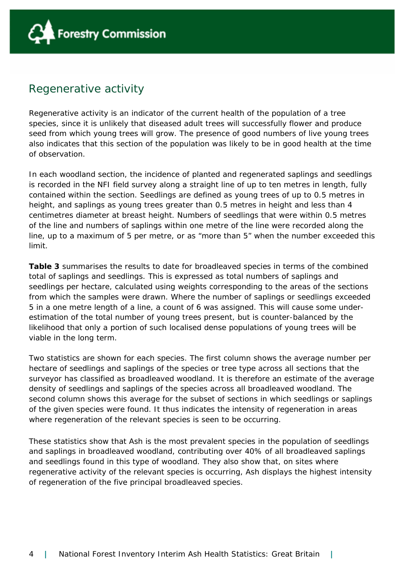

#### Regenerative activity

Regenerative activity is an indicator of the current health of the population of a tree species, since it is unlikely that diseased adult trees will successfully flower and produce seed from which young trees will grow. The presence of good numbers of live young trees also indicates that this section of the population was likely to be in good health at the time of observation.

In each woodland section, the incidence of planted and regenerated saplings and seedlings is recorded in the NFI field survey along a straight line of up to ten metres in length, fully contained within the section. Seedlings are defined as young trees of up to 0.5 metres in height, and saplings as young trees greater than 0.5 metres in height and less than 4 centimetres diameter at breast height. Numbers of seedlings that were within 0.5 metres of the line and numbers of saplings within one metre of the line were recorded along the line, up to a maximum of 5 per metre, or as "more than 5" when the number exceeded this limit.

**Table 3** summarises the results to date for broadleaved species in terms of the combined total of saplings and seedlings. This is expressed as total numbers of saplings and seedlings per hectare, calculated using weights corresponding to the areas of the sections from which the samples were drawn. Where the number of saplings or seedlings exceeded 5 in a one metre length of a line, a count of 6 was assigned. This will cause some underestimation of the total number of young trees present, but is counter-balanced by the likelihood that only a portion of such localised dense populations of young trees will be viable in the long term.

Two statistics are shown for each species. The first column shows the average number per hectare of seedlings and saplings of the species or tree type across all sections that the surveyor has classified as broadleaved woodland. It is therefore an estimate of the average density of seedlings and saplings of the species across all broadleaved woodland. The second column shows this average for the subset of sections in which seedlings or saplings of the given species were found. It thus indicates the intensity of regeneration in areas where regeneration of the relevant species is seen to be occurring.

These statistics show that Ash is the most prevalent species in the population of seedlings and saplings in broadleaved woodland, contributing over 40% of all broadleaved saplings and seedlings found in this type of woodland. They also show that, on sites where regenerative activity of the relevant species is occurring, Ash displays the highest intensity of regeneration of the five principal broadleaved species.